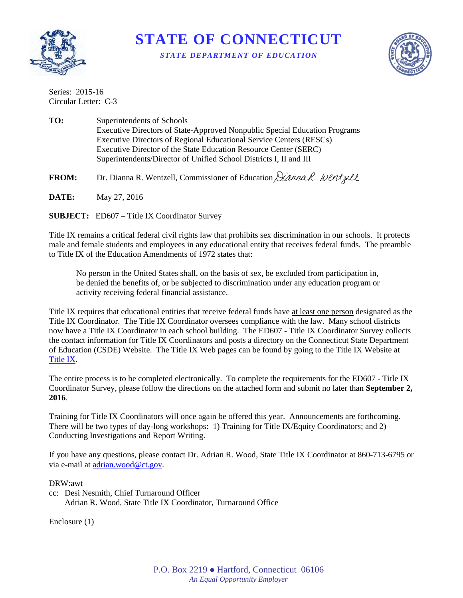

**STATE OF CONNECTICUT** *STATE DEPARTMENT OF EDUCATION*



Series: 2015-16 Circular Letter: C-3

**TO:** Superintendents of Schools Executive Directors of State-Approved Nonpublic Special Education Programs Executive Directors of Regional Educational Service Centers (RESCs) Executive Director of the State Education Resource Center (SERC) Superintendents/Director of Unified School Districts I, II and III

FROM: Dr. Dianna R. Wentzell, Commissioner of Education *Dianna R. Went gell* 

**DATE:** May 27, 2016

**SUBJECT:** ED607 **–** Title IX Coordinator Survey

Title IX remains a critical federal civil rights law that prohibits sex discrimination in our schools. It protects male and female students and employees in any educational entity that receives federal funds. The preamble to Title IX of the Education Amendments of 1972 states that:

No person in the United States shall, on the basis of sex, be excluded from participation in, be denied the benefits of, or be subjected to discrimination under any education program or activity receiving federal financial assistance.

Title IX requires that educational entities that receive federal funds have at least one person designated as the Title IX Coordinator. The Title IX Coordinator oversees compliance with the law. Many school districts now have a Title IX Coordinator in each school building. The ED607 - Title IX Coordinator Survey collects the contact information for Title IX Coordinators and posts a directory on the Connecticut State Department of Education (CSDE) Website. The Title IX Web pages can be found by going to the Title IX Website at [Title IX.](http://www.sde.ct.gov/sde/cwp/view.asp?a=2681&q=320472)

The entire process is to be completed electronically. To complete the requirements for the ED607 - Title IX Coordinator Survey, please follow the directions on the attached form and submit no later than **September 2, 2016**.

Training for Title IX Coordinators will once again be offered this year. Announcements are forthcoming. There will be two types of day-long workshops: 1) Training for Title IX/Equity Coordinators; and 2) Conducting Investigations and Report Writing.

If you have any questions, please contact Dr. Adrian R. Wood, State Title IX Coordinator at 860-713-6795 or via e-mail at [adrian.wood@ct.gov.](mailto:adrian.wood@ct.gov)

DRW:awt

cc: Desi Nesmith, Chief Turnaround Officer Adrian R. Wood, State Title IX Coordinator, Turnaround Office

Enclosure (1)